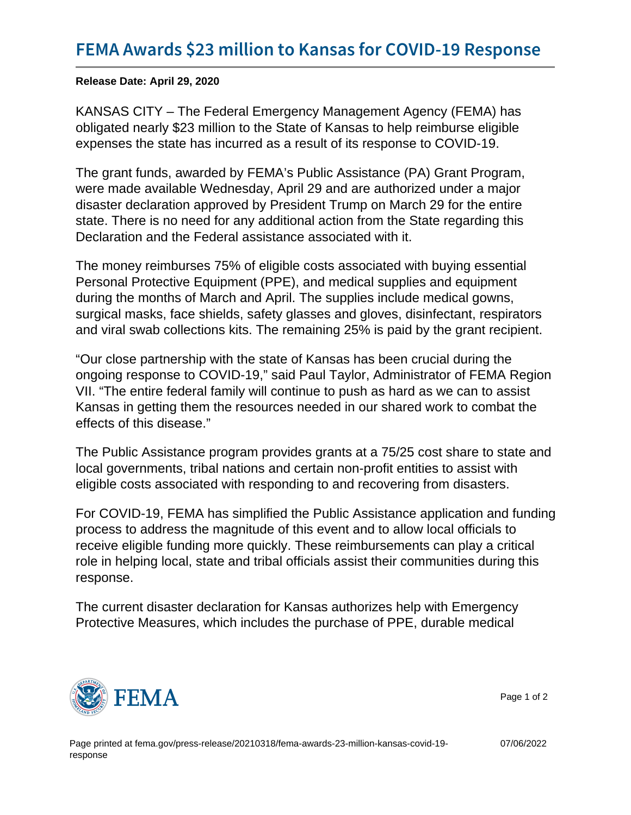Release Date: April 29, 2020

KANSAS CITY – The Federal Emergency Management Agency (FEMA) has obligated nearly \$23 million to the State of Kansas to help reimburse eligible expenses the state has incurred as a result of its response to COVID-19.

The grant funds, awarded by FEMA's Public Assistance (PA) Grant Program, were made available Wednesday, April 29 and are authorized under a major disaster declaration approved by President Trump on March 29 for the entire state. There is no need for any additional action from the State regarding this Declaration and the Federal assistance associated with it.

The money reimburses 75% of eligible costs associated with buying essential Personal Protective Equipment (PPE), and medical supplies and equipment during the months of March and April. The supplies include medical gowns, surgical masks, face shields, safety glasses and gloves, disinfectant, respirators and viral swab collections kits. The remaining 25% is paid by the grant recipient.

"Our close partnership with the state of Kansas has been crucial during the ongoing response to COVID-19," said Paul Taylor, Administrator of FEMA Region VII. "The entire federal family will continue to push as hard as we can to assist Kansas in getting them the resources needed in our shared work to combat the effects of this disease."

The Public Assistance program provides grants at a 75/25 cost share to state and local governments, tribal nations and certain non-profit entities to assist with eligible costs associated with responding to and recovering from disasters.

For COVID-19, FEMA has simplified the Public Assistance application and funding process to address the magnitude of this event and to allow local officials to receive eligible funding more quickly. These reimbursements can play a critical role in helping local, state and tribal officials assist their communities during this response.

The current disaster declaration for Kansas authorizes help with Emergency Protective Measures, which includes the purchase of PPE, durable medical



Page 1 of 2

07/06/2022